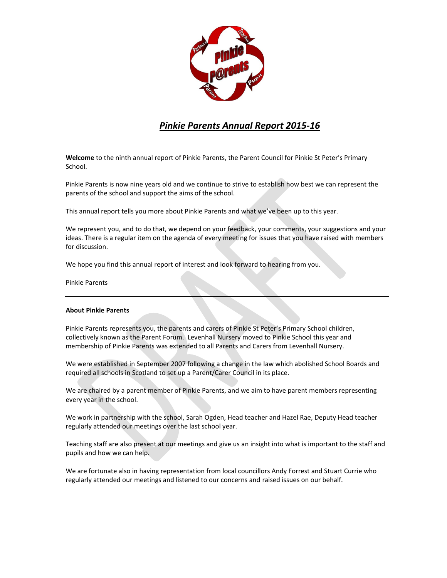

# *Pinkie Parents Annual Report 2015-16*

**Welcome** to the ninth annual report of Pinkie Parents, the Parent Council for Pinkie St Peter's Primary School.

Pinkie Parents is now nine years old and we continue to strive to establish how best we can represent the parents of the school and support the aims of the school.

This annual report tells you more about Pinkie Parents and what we've been up to this year.

We represent you, and to do that, we depend on your feedback, your comments, your suggestions and your ideas. There is a regular item on the agenda of every meeting for issues that you have raised with members for discussion.

We hope you find this annual report of interest and look forward to hearing from you.

Pinkie Parents

# **About Pinkie Parents**

Pinkie Parents represents you, the parents and carers of Pinkie St Peter's Primary School children, collectively known as the Parent Forum. Levenhall Nursery moved to Pinkie School this year and membership of Pinkie Parents was extended to all Parents and Carers from Levenhall Nursery.

We were established in September 2007 following a change in the law which abolished School Boards and required all schools in Scotland to set up a Parent/Carer Council in its place.

We are chaired by a parent member of Pinkie Parents, and we aim to have parent members representing every year in the school.

We work in partnership with the school, Sarah Ogden, Head teacher and Hazel Rae, Deputy Head teacher regularly attended our meetings over the last school year.

Teaching staff are also present at our meetings and give us an insight into what is important to the staff and pupils and how we can help.

We are fortunate also in having representation from local councillors Andy Forrest and Stuart Currie who regularly attended our meetings and listened to our concerns and raised issues on our behalf.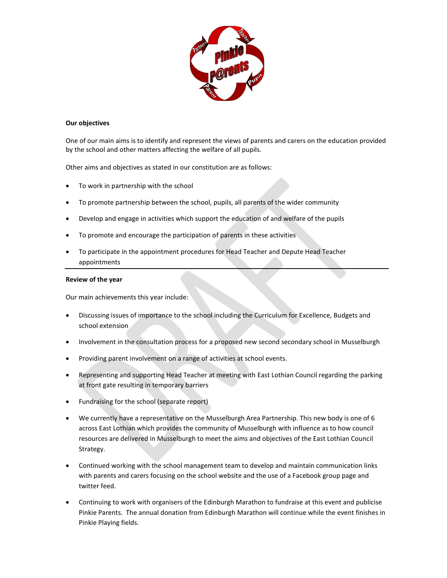

## **Our objectives**

One of our main aims is to identify and represent the views of parents and carers on the education provided by the school and other matters affecting the welfare of all pupils.

Other aims and objectives as stated in our constitution are as follows:

- To work in partnership with the school
- To promote partnership between the school, pupils, all parents of the wider community
- Develop and engage in activities which support the education of and welfare of the pupils
- To promote and encourage the participation of parents in these activities
- To participate in the appointment procedures for Head Teacher and Depute Head Teacher appointments

#### **Review of the year**

Our main achievements this year include:

- Discussing issues of importance to the school including the Curriculum for Excellence, Budgets and school extension
- Involvement in the consultation process for a proposed new second secondary school in Musselburgh
- Providing parent involvement on a range of activities at school events.
- Representing and supporting Head Teacher at meeting with East Lothian Council regarding the parking at front gate resulting in temporary barriers
- Fundraising for the school (separate report)
- We currently have a representative on the Musselburgh Area Partnership. This new body is one of 6 across East Lothian which provides the community of Musselburgh with influence as to how council resources are delivered in Musselburgh to meet the aims and objectives of the East Lothian Council Strategy.
- Continued working with the school management team to develop and maintain communication links with parents and carers focusing on the school website and the use of a Facebook group page and twitter feed.
- Continuing to work with organisers of the Edinburgh Marathon to fundraise at this event and publicise Pinkie Parents. The annual donation from Edinburgh Marathon will continue while the event finishes in Pinkie Playing fields.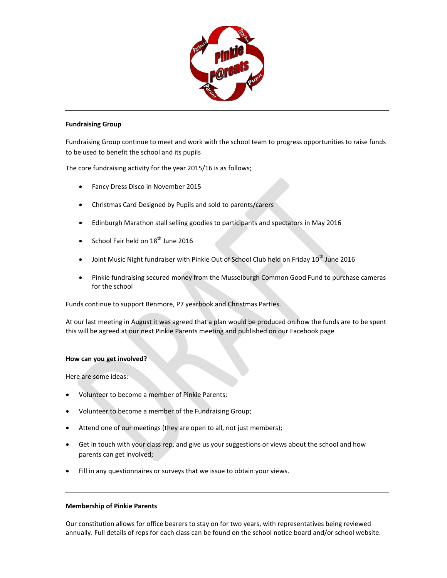

## **Fundraising Group**

Fundraising Group continue to meet and work with the school team to progress opportunities to raise funds to be used to benefit the school and its pupils

The core fundraising activity for the year 2015/16 is as follows;

- Fancy Dress Disco in November 2015
- Christmas Card Designed by Pupils and sold to parents/carers
- Edinburgh Marathon stall selling goodies to participants and spectators in May 2016
- School Fair held on  $18<sup>th</sup>$  June 2016
- $\bullet$  Joint Music Night fundraiser with Pinkie Out of School Club held on Friday 10<sup>th</sup> June 2016
- Pinkie fundraising secured money from the Musselburgh Common Good Fund to purchase cameras for the school

Funds continue to support Benmore, P7 yearbook and Christmas Parties.

At our last meeting in August it was agreed that a plan would be produced on how the funds are to be spent this will be agreed at our next Pinkie Parents meeting and published on our Facebook page

#### **How can you get involved?**

Here are some ideas:

- Volunteer to become a member of Pinkie Parents;
- Volunteer to become a member of the Fundraising Group;
- Attend one of our meetings (they are open to all, not just members);
- Get in touch with your class rep, and give us your suggestions or views about the school and how parents can get involved;
- Fill in any questionnaires or surveys that we issue to obtain your views.

#### **Membership of Pinkie Parents**

Our constitution allows for office bearers to stay on for two years, with representatives being reviewed annually. Full details of reps for each class can be found on the school notice board and/or school website.